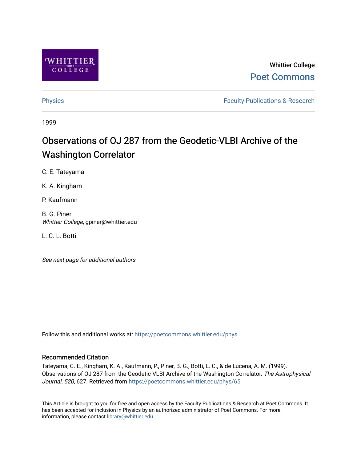

# Whittier College [Poet Commons](https://poetcommons.whittier.edu/)

[Physics](https://poetcommons.whittier.edu/phys) **Faculty Publications & Research Physics Faculty Publications & Research** 

1999

# Observations of OJ 287 from the Geodetic-VLBI Archive of the Washington Correlator

C. E. Tateyama

K. A. Kingham

P. Kaufmann

B. G. Piner Whittier College, gpiner@whittier.edu

L. C. L. Botti

See next page for additional authors

Follow this and additional works at: [https://poetcommons.whittier.edu/phys](https://poetcommons.whittier.edu/phys?utm_source=poetcommons.whittier.edu%2Fphys%2F65&utm_medium=PDF&utm_campaign=PDFCoverPages)

# Recommended Citation

Tateyama, C. E., Kingham, K. A., Kaufmann, P., Piner, B. G., Botti, L. C., & de Lucena, A. M. (1999). Observations of OJ 287 from the Geodetic-VLBI Archive of the Washington Correlator. The Astrophysical Journal, 520, 627. Retrieved from [https://poetcommons.whittier.edu/phys/65](https://poetcommons.whittier.edu/phys/65?utm_source=poetcommons.whittier.edu%2Fphys%2F65&utm_medium=PDF&utm_campaign=PDFCoverPages) 

This Article is brought to you for free and open access by the Faculty Publications & Research at Poet Commons. It has been accepted for inclusion in Physics by an authorized administrator of Poet Commons. For more information, please contact [library@whittier.edu.](mailto:library@whittier.edu)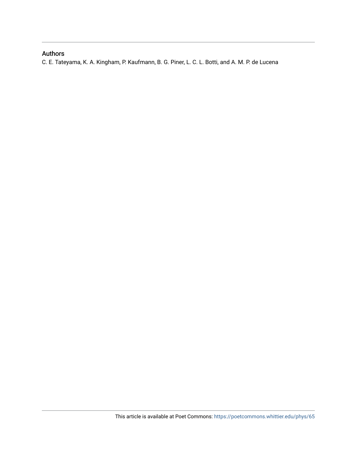# Authors

C. E. Tateyama, K. A. Kingham, P. Kaufmann, B. G. Piner, L. C. L. Botti, and A. M. P. de Lucena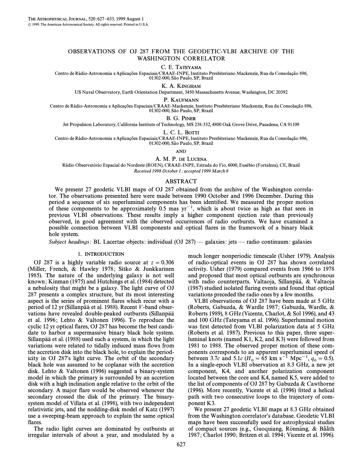## OBSERVATIONS OF OJ 287 FROM THE GEODETIC-VLBI ARCHIVE OF THE WASHINGTON CORRELATOR

#### C. E. TATEYAMA

Centro de Rádio-Astronomia e Aplicações Espaciais/CRAAE-INPE, Instituto Presbiteriano Mackenzie, Rua da Consolação 896, 01302-000, São Paulo, SP, Brazil

K. A. KINGHAM

US Naval Observatory, Earth Orientation Department, 3450 Massachusetts Avenue, Washington, DC 20392

P. KAUFMANN

Centro de Rádio-Astronomia e Aplicações Espaciais/CRAAE-Mackenzie, Instituto Presbiteriano Mackenzie, Rua da Consolação 896, 01302-000, São Paulo, SP, Brazil

### B. G. PINER

Jet Propulsion Laboratory, California Institute of Technology, MS 238-332, 4800 Oak Grove Drive, Pasadena, CA 91109

L. C. L. BOTTI

Centro de Rádio-Astronomia e Aplicações Espaciais/CRAAE-INPE, Instituto Presbiteriano Mackenzie, Rua da Consolação 896, 01302-000, São Paulo, SP, Brazil

AND

A. M. P. DE LUCENA

Rádio Observatório Espacial do Nordeste (ROEN), CRAAE-INPE, Estrada do Fio, 6000, Eusébio (Fortaleza), CE, Brazil Received 1998 October 1; accepted 1999 March 8

#### ABSTRACT

We present 27 geodetic VLBI maps of OJ 287 obtained from the archive of the Washington correlator. The observations presented here were made between 1990 October and 1996 December. During this period a sequence of six superluminal components has been identified. We measured the proper motion of these components to be approximately  $0.5$  mas  $yr^{-1}$ , which is about twice as high as that seen in previous VLBI observations. These results imply a higher component ejection rate than previously observed, in good agreement with the observed occurrences of radio outbursts. We have examined a possible connection between VLBI components and optical Ñares in the framework of a binary black hole system.

Subject headings: BL Lacertae objects: individual (OJ 287) — galaxies: jets — radio continuum: galaxies

## 1. INTRODUCTION

OJ 287 is a highly variable radio source at  $z = 0.306$ (Miller, French, & Hawley 1978; Sitko & Junkkarinen 1985). The nature of the underlying galaxy is not well known ; Kinman (1975) and Hutchings et al. (1984) detected a nebulosity that might be a galaxy. The light curve of OJ 287 presents a complex structure, but its most interesting aspect is the series of prominent flares which recur with a period of 12 yr (Sillanpää et al. 1988). Recent V-band observations have revealed double-peaked outbursts (Sillanpää et al. 1996; Lehto  $&$  Valtonen 1996). To reproduce the cyclic 12 yr optical Ñares, OJ 287 has become the best candidate to harbor a supermassive binary black hole system. Sillanpää et al. (1988) used such a system, in which the light variations were related to tidally induced mass flows from the accretion disk into the black hole, to explain the periodicity in OJ 287's light curve. The orbit of the secondary black hole was assumed to be coplanar with the accretion disk. Lehto & Valtonen (1996) suggested a binary-system model in which the primary is surrounded by an accretion disk with a high inclination angle relative to the orbit of the secondary. A major flare would be observed whenever the secondary crossed the disk of the primary. The binarysystem model of Villata et al. (1998), with two independent relativistic jets, and the nodding-disk model of Katz (1997) use a sweeping-beam approach to explain the same optical flares.

The radio light curves are dominated by outbursts at irregular intervals of about a year, and modulated by a

much longer nonperiodic timescale (Usher 1979). Analysis of radio-optical events in OJ 287 has shown correlated activity. Usher (1979) compared events from 1966 to 1978 and proposed that most optical outbursts are synchronous with radio counterparts. Valtaoja, Sillanpää, & Valtaoja (1987) studied isolated Ñaring events and found that optical variations preceded the radio ones by a few months.

VLBI observations of OJ 287 have been made at 5 GHz (Roberts, Gabuzda, & Wardle 1987; Gabuzda, Wardle, & Roberts 1989), 8 GHz (Vicente, Charlot, & Sol 1996), and 43 and 100 GHz (Tateyama et al. 1996). Superluminal motion was first detected from VLBI polarization data at 5 GHz (Roberts et al. 1987). Previous to this paper, three superluminal knots (named K1, K2, and K3) were followed from 1981 to 1988. The observed proper motion of these components corresponds to an apparent superluminal speed of between 3.7c and 5.1c ( $H_0 = 65$  km s<sup>-1</sup> Mpc<sup>-1</sup>,  $q_0 = 0.5$ ).<br>In a single-epoch VI BI observation at 8.3 GHz, a new jet In a single-epoch VLBI observation at 8.3 GHz, a new jet component, K4, and another polarization component located between the core and K4, named K5, were added to the list of components of OJ 287 by Gabuzda & Cawthorne  $(1996)$ . More recently, Vicente et al.  $(1996)$  fitted a helical path with two consecutive loops to the trajectory of component K3.

We present 27 geodetic VLBI maps at 8.3 GHz obtained from the Washington correlator's database. Geodetic VLBI maps have been successfully used for astrophysical studies of compact sources (e.g., Guoquiang, Rönnäng, & Bååth 1987; Charlot 1990; Britzen et al. 1994; Vicente et al. 1996).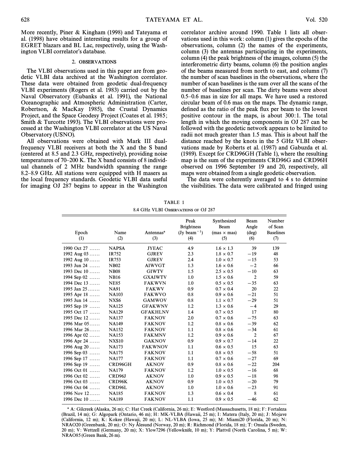More recently, Piner & Kingham (1998) and Tateyama et al. (1998) have obtained interesting results for a group of EGRET blazars and BL Lac, respectively, using the Washington VLBI correlator's database.

#### 2. OBSERVATIONS

The VLBI observations used in this paper are from geodetic VLBI data archived at the Washington correlator. These data were obtained from geodetic dual-frequency VLBI experiments (Rogers et al. 1983) carried out by the Naval Observatory (Eubanks et al. 1991), the National Oceanographic and Atmospheric Administration (Carter, Robertson, & MacKay 1985), the Crustal Dynamics Project, and the Space Geodesy Project (Coates et al. 1985; Smith & Turcotte 1993). The VLBI observations were processed at the Washington VLBI correlator at the US Naval Observatory (USNO).

All observations were obtained with Mark III dualfrequency VLBI receivers at both the X and the S band (centered at 8.5 and 2.3 GHz, respectively), providing noise temperatures of 70–200 K. The X band consists of 8 individual channels of 2 MHz bandwidth spanning the range 8.2–8.9 GHz. All stations were equipped with H masers as the local frequency standards. Geodetic VLBI data useful for imaging OJ 287 begins to appear in the Washington correlator archive around 1990. Table 1 lists all observations used in this work : column (1) gives the epochs of the observations, column (2) the names of the experiments, column (3) the antennas participating in the experiments, column (4) the peak brightness of the images, column (5) the interferometric dirty beams, column (6) the position angles of the beams measured from north to east, and column (7) the number of scan baselines in the observations, where the number of scan baselines is the sum over all the scans of the number of baselines per scan. The dirty beams were about  $0.5-0.6$  mas in size for all maps. We have used a restored circular beam of 0.6 mas on the maps. The dynamic range, defined as the ratio of the peak flux per beam to the lowest positive contour in the maps, is about 300:1. The total length in which the moving components in OJ 287 can be followed with the geodetic network appears to be limited to radii not much greater than 1.5 mas. This is about half the distance reached by the knots in the 5 GHz VLBI observations made by Roberts et al. (1987) and Gabuzda et al. (1989). Except for CRD96GH (Table 1), where the resulting map is the sum of the experiments CRD96G and CRD96H observed on 1996 September 19 and 20, respectively, all maps were obtained from a single geodetic observation.

The data were coherently averaged to 4 s to determine the visibilities. The data were calibrated and fringed using

Peak Synthesized Beam Number Brightness Beam Angle of Scan

| TABLE 1                             |  |
|-------------------------------------|--|
| 8.4 GHz VLBI OBSERVATIONS OF OJ 287 |  |

Epoch Name Antennas<sup>a</sup> (Jy beam<sup>-1</sup>) (mas  $\times$  mas) (deg) Baselines (1)  $(2)$   $(3)$   $(4)$   $(5)$   $(6)$   $(7)$ 

1990 Oct 27 ...... NAPSA JYEAC 4.9 1.6 × 1.3 39 139<br>1992 Aug 03 ...... IR752 GJREV 2.3 1.8 × 0.7 -19 48 1992 Aug 03 ...... IR752 GJREV 2.3  $1.8 \times 0.7$   $-19$ 1992 Aug 10 ...... IR753 GJREV 2.4  $1.0 \times 0.7$   $-15$ 1993 Jun 24 ...... NB02 AIWVGT 1.3 1.6 x 0.6  $-2$ 1993 Dec 10 ...... NB08 GIWTV 1.5  $2.5 \times 0.5 = 10$ 

| 1994 Sep $02$                                                                                                                                                                                                      | <b>NB16</b>         | <b>GXAIWTV</b>                                                                                                            | 1.0              | $1.5 \times 0.6$ | 2     | 59  |
|--------------------------------------------------------------------------------------------------------------------------------------------------------------------------------------------------------------------|---------------------|---------------------------------------------------------------------------------------------------------------------------|------------------|------------------|-------|-----|
| 1994 Dec $13$                                                                                                                                                                                                      | <b>NE85</b>         | <b>FAKWVN</b>                                                                                                             | 1.0              | $0.5 \times 0.5$ | $-35$ | 63  |
| 1995 Jan $25$                                                                                                                                                                                                      | <b>NA91</b>         | <b>FAKWV</b>                                                                                                              | 0.9 <sup>°</sup> | $0.7 \times 0.4$ | 20    | 22  |
| 1995 Apr 18                                                                                                                                                                                                        | <b>NA103</b>        | <b>FAKWVO</b>                                                                                                             | 0.8              | $0.9 \times 0.6$ | $-21$ | 51  |
| 1995 Jun 14                                                                                                                                                                                                        | NXS <sub>6</sub>    | <b>GAMWOV</b>                                                                                                             | 0.8              | $1.1 \times 0.7$ | $-29$ | 51  |
| 1995 Sep 19                                                                                                                                                                                                        | <b>NA125</b>        | <b>GFAKWNV</b>                                                                                                            | 1.2              | $1.3 \times 0.6$ | $-4$  | 29  |
| 1995 Oct 17                                                                                                                                                                                                        | <b>NA129</b>        | <b>GFAKHLNV</b>                                                                                                           | 1.4              | $0.7 \times 0.5$ | 17    | 80  |
| 1995 Dec $12$                                                                                                                                                                                                      | <b>NA137</b>        | <b>FAKNOV</b>                                                                                                             | 2.0              | $0.7 \times 0.6$ | $-75$ | 63  |
| 1996 Mar $05$                                                                                                                                                                                                      | <b>NA149</b>        | <b>FAKNOV</b>                                                                                                             | 1.2              | $0.8 \times 0.6$ | $-39$ | 62  |
| 1996 Mar $26$                                                                                                                                                                                                      | <b>NA152</b>        | <b>FAKNOV</b>                                                                                                             | 1.1              | $0.8 \times 0.6$ | $-34$ | 61  |
| 1996 Apr $02$                                                                                                                                                                                                      | <b>NA153</b>        | <b>FAKMNV</b>                                                                                                             | 1.2              | $0.9 \times 0.6$ | 2     | 67  |
| 1996 Apr 24                                                                                                                                                                                                        | <b>NXS10</b>        | <b>GAKNOV</b>                                                                                                             | 0.9              | $0.9 \times 0.7$ | $-14$ | 22  |
| 1996 Aug $20$                                                                                                                                                                                                      | <b>NA173</b>        | <b>FAKWNOV</b>                                                                                                            | 1.1              | $0.6 \times 0.5$ | 15    | 63  |
| 1996 Sep $03$                                                                                                                                                                                                      | <b>NA175</b>        | <b>FAKNOV</b>                                                                                                             | 1.1              | $0.8 \times 0.5$ | $-58$ | 51  |
| 1996 Sep 17                                                                                                                                                                                                        | <b>NA177</b>        | <b>FAKNOV</b>                                                                                                             | 1.1              | $0.7 \times 0.6$ | $-27$ | 69  |
| 1996 Sep 19                                                                                                                                                                                                        | CRD96GH             | <b>AKNOV</b>                                                                                                              | 0.9              | $0.8 \times 0.6$ | $-22$ | 204 |
| 1996 Oct $01$                                                                                                                                                                                                      | <b>NA179</b>        | <b>FAKNOV</b>                                                                                                             | 1.2              | $1.0 \times 0.5$ | $-16$ | 68  |
| 1996 Oct $02$                                                                                                                                                                                                      | CRD <sub>96</sub> J | <b>AKNOV</b>                                                                                                              | 1.0              | $0.9 \times 0.5$ | $-18$ | 98  |
| 1996 Oct 03                                                                                                                                                                                                        | CRD96K              | <b>AKNOV</b>                                                                                                              | 0.9              | $1.0 \times 0.5$ | $-20$ | 79  |
| 1996 Oct 04                                                                                                                                                                                                        | CRD96L              | <b>AKNOV</b>                                                                                                              | 1.0              | $1.0 \times 0.6$ | $-23$ | 91  |
| 1996 Nov $12$                                                                                                                                                                                                      | <b>NA185</b>        | <b>FAKNOV</b>                                                                                                             | 1.3              | $0.6 \times 0.4$ | 8     | 61  |
| 1996 Dec $10$                                                                                                                                                                                                      | <b>NA189</b>        | <b>FAKNOV</b>                                                                                                             | 1.1              | $0.9 \times 0.5$ | $-46$ | 62  |
| (Brazil, 14 m); G: Algopark (Ontario, 46 m); H: MK-VLBA (Hawaii, 25 m); I: Matera (Italy, 20 m); J: Mojave<br>(California, 12 m); K: Kokee (Hawaii, 20 m); L: NL-VLBA (Iowa, 25 m); M: Miami20 (Florida, 20 m); N: |                     | <sup>a</sup> A: Gilcreek (Alaska, 26 m); C: Hat Creek (California, 26 m); E: Westford (Massachusetts, 18 m); F: Fortaleza |                  |                  |       |     |

(California, 12 m); K: Kokee (Hawaii, 20 m); L: NL-VLBA (Iowa, 25 m); M: Miami20 (Florida, 20 m); N: NRAO20 (Greenbank, 20 m); O: Ny Ålesund (Norway, 20 m); R: Richmond (Florida, 18 m); T: Onsala (Sweden, 20 m); V: Wettzell (Germany, 20 m); X: Ylow7296 (Yellowknife, 10 m); Y: Plattvil (North Carolina, 5 m); W: NRAO85 (Green Bank, 26 m).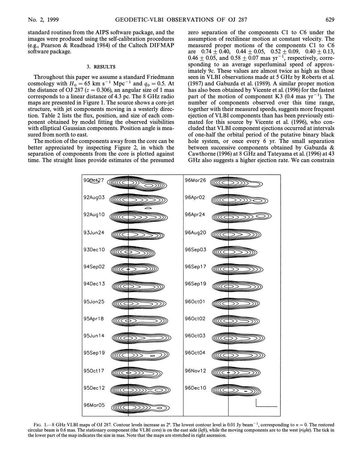standard routines from the AIPS software package, and the images were produced using the self-calibration procedures (e.g., Pearson & Readhead 1984) of the Caltech DIFMAP software package.

#### 3. RESULTS

Throughout this paper we assume a standard Friedmann cosmology with  $H_0 = 65$  km s<sup>-1</sup> Mpc<sup>-1</sup> and  $q_0 = 0.5$ . At the distance of OL287 ( $z = 0.306$ ) an angular size of 1 mas the distance of OJ 287 ( $z = 0.306$ ), an angular size of 1 mas corresponds to a linear distance of 4.3 pc. The 8 GHz radio maps are presented in Figure 1. The source shows a core-jet structure, with jet components moving in a westerly direction. Table 2 lists the flux, position, and size of each component obtained by model fitting the observed visibilities with elliptical Gaussian components. Position angle is measured from north to east.

The motion of the components away from the core can be better appreciated by inspecting Figure 2, in which the separation of components from the core is plotted against time. The straight lines provide estimates of the presumed

zero separation of the components C1 to C6 under the assumption of rectilinear motion at constant velocity. The measured proper motions of the components C1 to C6 are  $0.74\pm 0.40$ ,  $0.44\pm 0.05$ ,  $0.52\pm 0.09$ ,  $0.40\pm 0.13$ ,  $0.46 \pm 0.05$ , and  $0.58 \pm 0.07$  mas yr<sup>-1</sup>, respectively, corresponding to an average superluminal speed of approximately 9c. These values are almost twice as high as those seen in VLBI observations made at 5 GHz by Roberts et al. (1987) and Gabuzda et al. (1989). A similar proper motion has also been obtained by Vicente et al. (1996) for the fastest part of the motion of component K3 (0.4 mas  $yr^{-1}$ ). The number of components observed over this time range, together with their measured speeds, suggests more frequent ejection of VLBI components than has been previously estimated for this source by Vicente et al. (1996), who concluded that VLBI component ejections occurred at intervals of one-half the orbital period of the putative binary black hole system, or once every 6 yr. The small separation between successive components obtained by Gabuzda & Cawthorne (1996) at 8 GHz and Tateyama et al. (1996) at 43 GHz also suggests a higher ejection rate. We can constrain



FIG. 1—8 GHz VLBI maps of OJ 287. Contour levels increase as 2<sup>n</sup>. The lowest contour level is 0.01 Jy beam<sup>-1</sup>, corresponding to  $n = 0$ . The restored circular beam is 0.6 mas. The stationary component (the VLBI core) is on the east side (left), while the moving components are to the west (right). The tick in the lower part of the map indicates the size in mas. Note that the maps are stretched in right ascension.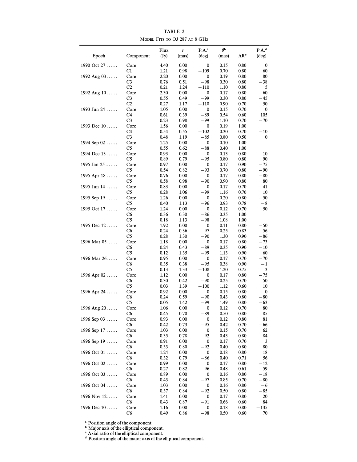| Epoch         | Component      | Flux<br>(Jy) | r<br>(mas)   | P.A. <sup>a</sup><br>(deg) | $\theta$<br>(mas) | AR <sup>c</sup> | $P.A.^d$<br>(deg) |
|---------------|----------------|--------------|--------------|----------------------------|-------------------|-----------------|-------------------|
| 1990 Oct 27   | Core           | 4.40         | 0.00         | 0                          | 0.15              | 0.80            | 0                 |
|               | C1             | 1.21         | 0.98         | $-109$                     | 0.70              | 0.80            | 60                |
| 1992 Aug 03   | Core           | 2.20         | 0.00         | 0                          | 0.19              | 0.80            | 80                |
|               | C <sub>3</sub> | 0.76         | 0.51         | $-98$                      | 0.30              | 0.80            | $-38$             |
|               | C <sub>2</sub> | 0.21         | 1.24         | $-110$                     | 1.10              | 0.80            | 5                 |
| 1992 Aug 10   | Core           | 2.30         | 0.00         | 0                          | 0.17              | 0.80            | $-60$             |
|               | C <sub>3</sub> | 0.55         | 0.49         | -99                        | 0.30              | 0.80            | -45               |
|               | C2             | 0.27         | 1.17         | $-110$                     | 0.90              | 0.70            | 50                |
| 1993 Jun 24   | Core<br>C4     | 1.05         | 0.00         | 0<br>$-89$                 | 0.15              | 0.70<br>0.60    | 0<br>105          |
|               | C <sub>3</sub> | 0.61<br>0.23 | 0.39<br>0.98 | -99                        | 0.54<br>1.10      | 0.70            | $-70$             |
| 1993 Dec 10   | Core           | 1.56         | 0.00         | 0                          | 0.19              | 1.00            |                   |
|               | C4             | 0.54         | 0.55         | $-102$                     | 0.30              | 0.70            | $-10$             |
|               | C <sub>3</sub> | 0.48         | 1.19         | $-85$                      | 0.80              | 0.50            | 0                 |
| 1994 Sep 02   | Core           | 1.25         | 0.00         | 0                          | 0.10              | 1.00            |                   |
|               | C <sub>5</sub> | 0.55         | 0.62         | $-88$                      | 0.40              | 1.00            |                   |
| 1994 Dec 13   | Core           | 0.93         | 0.00         | 0                          | 0.13              | 0.80            | $-10$             |
|               | C5             | 0.89         | 0.79         | $-95$                      | 0.80              | 0.80            | 90                |
| 1995 Jan 25   | Core           | 0.97         | 0.00         | 0                          | 0.17              | 0.90            | -75               |
|               | C <sub>5</sub> | 0.54         | 0.82         | -93                        | 0.70              | 0.80            | $-90$             |
| 1995 Apr 18   | Core           | 0.76         | 0.00         | 0                          | 0.17              | 0.80            | $-80$             |
|               | C <sub>5</sub> | 0.58         | 0.98         | $-90$                      | 0.90              | 0.80            | 80                |
| 1995 Jun 14   | Core<br>C5     | 0.83<br>0.28 | 0.00<br>1.06 | 0<br>$-99$                 | 0.17<br>$1.16\,$  | 0.70<br>0.70    | -41<br>10         |
| 1995 Sep 19   | Core           | 1.26         | 0.00         | 0                          | 0.20              | 0.80            | $-50$             |
|               | C <sub>5</sub> | 0.40         | 1.13         | $-96$                      | 0.93              | 0.78            | $-8$              |
| 1995 Oct 17   | Core           | 1.24         | 0.00         | 0                          | 0.12              | 0.70            | 50                |
|               | C <sub>6</sub> | 0.36         | 0.30         | $-86$                      | 0.35              | 1.00            |                   |
|               | C <sub>5</sub> | 0.18         | 1.13         | $-98$                      | 1.08              | 1.00            |                   |
| 1995 Dec $12$ | Core           | 1.92         | 0.00         | 0                          | 0.11              | 0.80            | $-50$             |
|               | C6             | 0.24         | 0.36         | $-97$                      | 0.25              | 0.83            | $-56$             |
|               | C <sub>5</sub> | 0.28         | 1.30         | $-90$                      | 1.30              | 0.90            | $-86$             |
| 1996 Mar 05   | Core           | 1.18         | 0.00         | 0                          | 0.17              | 0.80            | $-73$             |
|               | C6             | 0.24         | 0.43         | $-89$                      | 0.35              | 0.90            | $-10$             |
| 1996 Mar 26   | C <sub>5</sub> | 0.12         | 1.35         | $-99$                      | 1.13              | 0.90            | 60<br>$-70$       |
|               | Core<br>C6     | 0.95<br>0.35 | 0.00<br>0.38 | 0<br>$-95$                 | 0.17<br>0.38      | 0.70<br>0.90    | $-1$              |
|               | C <sub>5</sub> | 0.13         | 1.33         | $-108$                     | 1.20              | 0.75            | 3                 |
| 1996 Apr $02$ | Core           | 1.12         | 0.00         | 0                          | 0.17              | 0.80            | $-75$             |
|               | C6             | 0.30         | 0.42         | $-90$                      | 0.25              | 0.70            | 50                |
|               | C <sub>5</sub> | 0.03         | 1.39         | $-100$                     | 1.12              | 0.60            | 10                |
| 1996 Apr 24   | Core           | 0.92         | 0.00         | 0                          | 0.15              | 0.80            | 0                 |
|               | C6             | 0.24         | 0.59         | $-90$                      | 0.43              | 0.80            | $-80$             |
|               | C5             | 0.05         | 1.42         | $-99$                      | 1.49              | 0.80            | -63               |
| 1996 Aug 20   | Core           | 1.06         | 0.00         | 0                          | 0.12              | 0.70            | 80                |
|               | C6             | 0.45         | 0.70         | $-89$                      | 0.50              | 0.80            | 85                |
| 1996 Sep 03   | Core           | 0.93<br>0.42 | 0.00         | 0                          | 0.12              | 0.80            | 81                |
| 1996 Sep 17   | C6<br>Core     | 1.03         | 0.73<br>0.00 | -95<br>0                   | 0.42<br>0.15      | 0.70<br>0.70    | - 66<br>62        |
|               | C6             | 0.35         | 0.78         | $-92$                      | 0.43              | 0.80            | 84                |
| 1996 Sep 19   | Core           | 0.91         | 0.00         | 0                          | 0.17              | 0.70            | 3                 |
|               | C6             | 0.33         | 0.80         | $-92$                      | 0.40              | 0.80            | 80                |
| 1996 Oct 01   | Core           | 1.24         | 0.00         | 0                          | 0.18              | 0.80            | 18                |
|               | C <sub>6</sub> | 0.32         | 0.79         | $-86$                      | 0.40              | 0.71            | 56                |
| 1996 Oct 02   | Core           | 0.99         | 0.00         | 0                          | 0.17              | 0.80            | $-12$             |
|               | C6             | 0.27         | 0.82         | -96                        | 0.48              | 0.61            | $-59$             |
| 1996 Oct 03   | Core           | 0.89         | 0.00         | 0                          | 0.16              | 0.80            | $-18$             |
|               | C6             | 0.43         | 0.84         | $-97$                      | 0.85              | 0.70            | $-80$             |
| 1996 Oct 04   | Core           | 1.03         | 0.00         | 0                          | 0.16              | 0.80            | -6                |
| 1996 Nov 12   | C6<br>Core     | 0.37<br>1.41 | 0.84<br>0.00 | $-92$<br>0                 | 0.50<br>0.17      | 0.80<br>0.80    | $-85$<br>20       |
|               | C6             | 0.43         | 0.87         | -91                        | 0.66              | 0.60            | 84                |
| 1996 Dec 10   | Core           | 1.16         | 0.00         | 0                          | 0.18              | 0.80            | $-135$            |
|               | C6             | 0.49         | 0.86         | -98                        | 0.50              | 0.60            | 70                |

TABLE 2 MODEL FITS TO OJ 287 AT 8 GHz

<sup>a</sup> Position angle of the component.

<sup>b</sup> Major axis of the elliptical component.

c Axial ratio of the elliptical component.

<sup>d</sup> Position angle of the major axis of the elliptical component.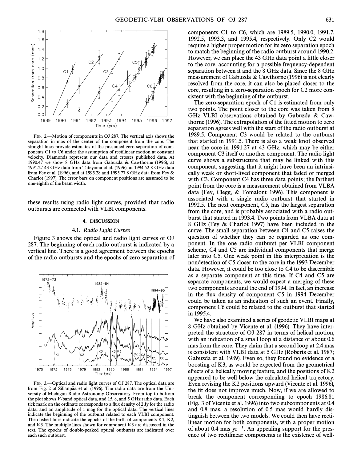

FIG. 2.—Motion of components in OJ 287. The vertical axis shows the separation in mas of the center of the component from the core. The straight lines provide estimates of the presumed zero separation of components C1 to C6 under the assumption of rectilinear motion at constant velocity. Diamonds represent our data and crosses published data. At 1990.47 we show 8 GHz data from Gabuzda & Cawthorne (1996), at 1991.27 43 GHz data from Tateyama et al. (1996), at 1994.52 8 GHz data from Fey et al. (1996), and at 1995.28 and 1995.77 8 GHz data from Fey & Charlot (1997). The error bars on component positions are assumed to be one-eighth of the beam width.

these results using radio light curves, provided that radio outbursts are connected with VLBI components.

#### 4. DISCUSSION

#### 4.1. Radio Light Curves

Figure 3 shows the optical and radio light curves of OJ 287. The beginning of each radio outburst is indicated by a vertical line. There is a good agreement between the epochs of the radio outbursts and the epochs of zero separation of



FIG. 3.—Optical and radio light curves of OJ 287. The optical data are from Fig. 2 of Sillanpää et al. (1996). The radio data are from the University of Michigan Radio Astronomy Observatory. From top to bottom the plot shows  $\bar{V}$ -band optical data, and 15, 8, and 5 GHz radio data. Each tick mark on the ordinate corresponds to a Ñux density of 2 Jy for the radio data, and an amplitude of 1 mag for the optical data. The vertical lines indicate the beginning of the outburst related to each VLBI component. The dashed lines indicate the epochs of the birth of components K1, K2, and K3. The multiple lines shown for component K3 are discussed in the text. The epochs of double-peaked optical outbursts are indicated over each such outburst.

components C1 to C6, which are 1989.5, 1990.0, 1991.7, 1992.5, 1993.3, and 1995.4, respectively. Only C2 would require a higher proper motion for its zero separation epoch to match the beginning of the radio outburst around 1990.2. However, we can place the 43 GHz data point a little closer to the core, accounting for a possible frequency-dependent separation between it and the 8 GHz data. Since the 8 GHz measurement of Gabuzda & Cawthorne (1996) is not clearly resolved from the core, it can also be placed closer to the core, resulting in a zero-separation epoch for C2 more consistent with the beginning of the outburst.

The zero-separation epoch of C1 is estimated from only two points. The point closer to the core was taken from 8 GHz VLBI observations obtained by Gabuzda & Cawthorne (1996). The extrapolation of the fitted motion to zero separation agrees well with the start of the radio outburst at 1989.5. Component C3 would be related to the outburst that started in 1991.5. There is also a weak knot observed near the core in 1991.27 at 43 GHz, which may be either component C3 itself or another component. The radio light curve shows a substructure that may be linked with this component, suggesting that it might have been an intrinsically weak or short-lived component that faded or merged with C3. Component C4 has three data points; the farthest point from the core is a measurement obtained from VLBA data (Fey, Clegg, & Fomalont 1996). This component is associated with a single radio outburst that started in 1992.5. The next component, C5, has the largest separation from the core, and is probably associated with a radio outburst that started in 1993.4. Two points from VLBA data at 8 GHz (Fey & Charlot 1997) have been included in the curve. The small separation between C4 and C5 raises the question of whether they can be regarded as one component. In the one radio outburst per VLBI component scheme, C4 and C5 are individual components that merge later into C5. One weak point in this interpretation is the nondetection of C5 closer to the core in the 1993 December data. However, it could be too close to C4 to be discernible as a separate component at this time. If C4 and C5 are separate components, we would expect a merging of these two components around the end of 1994. In fact, an increase in the flux density of component C5 in 1994 December could be taken as an indication of such an event. Finally, component C6 could be related to the outburst that started in 1995.4.

We have also examined a series of geodetic VLBI maps at 8 GHz obtained by Vicente et al. (1996). They have interpreted the structure of OJ 287 in terms of helical motion, with an indication of a small loop at a distance of about 0.6 mas from the core. They claim that a second loop at 2.4 mas is consistent with VLBI data at 5 GHz (Roberts et al. 1987 ; Gabuzda et al. 1989). Even so, they found no evidence of a boosting of K3, as would be expected from the geometrical effects of a helically moving feature, and the positions of  $K2$ appeared to be well below the calculated helical trajectory. Even revising the K2 positions upward (Vicente et al. 1996), the fit does not improve much. Now, if we are allowed to break the component corresponding to epoch 1986.81 (Fig. 3 of Vicente et al. 1996) into two subcomponents at 0.4 and 0.8 mas, a resolution of 0.5 mas would hardly distinguish between the two models. We could then have rectilinear motion for both components, with a proper motion of about 0.4 mas  $yr^{-1}$ . An appealing support for the presence of two rectilinear components is the existence of well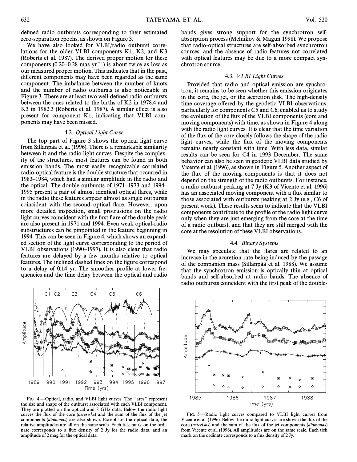defined radio outbursts corresponding to their estimated zero-separation epochs, as shown on Figure 3.

We have also looked for VLBI/radio outburst correlations for the older VLBI components K1, K2, and K3 (Roberts et al. 1987). The derived proper motion for these components (0.20–0.28 mas  $yr^{-1}$ ) is about twice as low as our measured proper motion. This indicates that in the past, different components may have been regarded as the same component. The imbalance between the number of knots and the number of radio outbursts is also noticeable in Figure 3. There are at least two well-defined radio outbursts between the ones related to the births of K2 in 1978.4 and K3 in 1982.3 (Roberts et al. 1987). A similar effect is also present for component K1, indicating that VLBI components may have been missed.

#### 4.2. Optical Light Curve

The top part of Figure 3 shows the optical light curve from Sillanpää et al. (1996). There is a remarkable similarity between it and the radio light curves. Despite the complexity of the structures, most features can be found in both emission bands. The most easily recognizable correlated radio-optical feature is the double structure that occurred in 1983–1984, which had a similar amplitude in the radio and the optical. The double outbursts of  $1971-1973$  and  $1994-$ 1995 present a pair of almost identical optical flares, while in the radio these features appear almost as single outbursts coincident with the second optical Ñare. However, upon more detailed inspection, small protrusions on the radio light curves coincident with the first flare of the double peak are also present in 1971 and 1994. Even weak optical-radio substructures can be pinpointed in the feature beginning in 1994. This can be seen in Figure 4, which shows an expanded section of the light curve corresponding to the period of VLBI observations (1990–1997). It is also clear that radio features are delayed by a few months relative to optical features. The inclined dashed lines on the figure correspond to a delay of 0.14 yr. The smoother profile at lower frequencies and the time delay between the optical and radio



FIG. 4.—Optical, radio, and VLBI light curves. The "arcs" represent the size and shape of the outburst associated with each VLBI component. They are plotted on the optical and 8 GHz data. Below the radio light curves the flux of the core (*asterisks*) and the sum of the flux of the jet components (diamonds) are also shown. Except for the optical data, the relative amplitudes are all on the same scale. Each tick mark on the ordinate corresponds to a flux density of 2 Jy for the radio data, and an amplitude of 2 mag for the optical data.

#### 4.3. VLBI Light Curves

Provided that radio and optical emission are synchrotron, it remains to be seen whether this emission originates in the core, the jet, or the accretion disk. The high-density time coverage offered by the geodetic VLBI observations, particularly for components C5 and C6, enabled us to study the evolution of the flux of the VLBI components (core and moving components) with time, as shown in Figure 4 along with the radio light curves. It is clear that the time variation of the flux of the core closely follows the shape of the radio light curves, while the flux of the moving components remains nearly constant with time. With less data, similar results can be seen for C4 in 1993 December. The same behavior can also be seen in geodetic VLBI data studied by Vicente et al. (1996), as shown in Figure 5. Another aspect of the flux of the moving components is that it does not depend on the strength of the radio outbursts. For instance, a radio outburst peaking at 7 Jy (K3 of Vicente et al. 1996) has an associated moving component with a flux similar to those associated with outbursts peaking at 2 Jy (e.g., C6 of present work). These results seem to indicate that the VLBI components contribute to the profile of the radio light curve only when they are just emerging from the core at the time of a radio outburst, and that they are still merged with the core at the resolution of these VLBI observations.

#### 4.4. Binary Systems

We may speculate that the flares are related to an increase in the accretion rate being induced by the passage of the companion mass (Sillanpää et al. 1988). We assume that the synchrotron emission is optically thin at optical bands and self-absorbed at radio bands. The absence of radio outbursts coincident with the first peak of the double-

⋻<br>╝╤╝╌╝╝ Amplitude ∰<del>∖ख</del>ाखमी **SED PERSPERSE** ⊨neg ◇ 1985 1986 1987 1988 Time (yrs)

FIG. 5.-Radio light curves compared to VLBI light curves from Vicente et al. (1996). Below the radio light curves are shown the Ñux of the core (asterisks) and the sum of the flux of the jet components (diamonds) from Vicente et al. (1996). All amplitudes are on the same scale. Each tick mark on the ordinate corresponds to a flux density of 2 Jy.